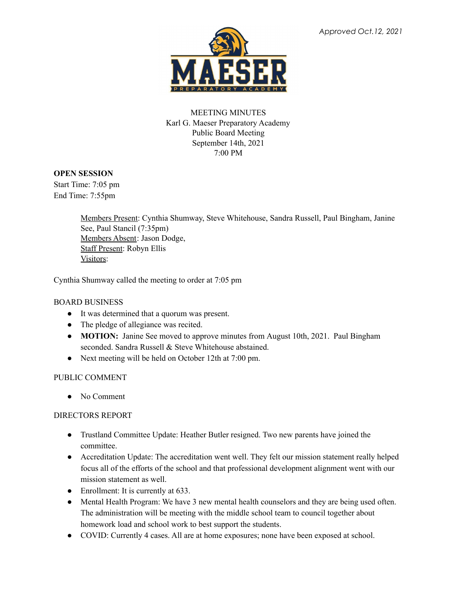

# MEETING MINUTES Karl G. Maeser Preparatory Academy Public Board Meeting September 14th, 2021 7:00 PM

### **OPEN SESSION**

Start Time: 7:05 pm End Time: 7:55pm

> Members Present: Cynthia Shumway, Steve Whitehouse, Sandra Russell, Paul Bingham, Janine See, Paul Stancil (7:35pm) Members Absent: Jason Dodge, Staff Present: Robyn Ellis Visitors:

Cynthia Shumway called the meeting to order at 7:05 pm

### BOARD BUSINESS

- It was determined that a quorum was present.
- The pledge of allegiance was recited.
- **MOTION:** Janine See moved to approve minutes from August 10th, 2021. Paul Bingham seconded. Sandra Russell & Steve Whitehouse abstained.
- Next meeting will be held on October 12th at 7:00 pm.

### PUBLIC COMMENT

● No Comment

### DIRECTORS REPORT

- Trustland Committee Update: Heather Butler resigned. Two new parents have joined the committee.
- Accreditation Update: The accreditation went well. They felt our mission statement really helped focus all of the efforts of the school and that professional development alignment went with our mission statement as well.
- Enrollment: It is currently at 633.
- Mental Health Program: We have 3 new mental health counselors and they are being used often. The administration will be meeting with the middle school team to council together about homework load and school work to best support the students.
- COVID: Currently 4 cases. All are at home exposures; none have been exposed at school.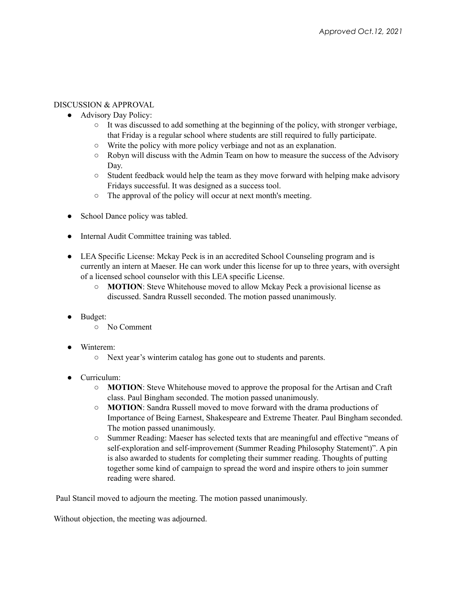## DISCUSSION & APPROVAL

- Advisory Day Policy:
	- It was discussed to add something at the beginning of the policy, with stronger verbiage, that Friday is a regular school where students are still required to fully participate.
	- Write the policy with more policy verbiage and not as an explanation.
	- Robyn will discuss with the Admin Team on how to measure the success of the Advisory Day.
	- $\circ$  Student feedback would help the team as they move forward with helping make advisory Fridays successful. It was designed as a success tool.
	- The approval of the policy will occur at next month's meeting.
- School Dance policy was tabled.
- Internal Audit Committee training was tabled.
- LEA Specific License: Mckay Peck is in an accredited School Counseling program and is currently an intern at Maeser. He can work under this license for up to three years, with oversight of a licensed school counselor with this LEA specific License.
	- **MOTION**: Steve Whitehouse moved to allow Mckay Peck a provisional license as discussed. Sandra Russell seconded. The motion passed unanimously.
- Budget:
	- No Comment
- Winterem:
	- Next year's winterim catalog has gone out to students and parents.
- Curriculum:
	- **MOTION**: Steve Whitehouse moved to approve the proposal for the Artisan and Craft class. Paul Bingham seconded. The motion passed unanimously.
	- **MOTION**: Sandra Russell moved to move forward with the drama productions of Importance of Being Earnest, Shakespeare and Extreme Theater. Paul Bingham seconded. The motion passed unanimously.
	- Summer Reading: Maeser has selected texts that are meaningful and effective "means of self-exploration and self-improvement (Summer Reading Philosophy Statement)". A pin is also awarded to students for completing their summer reading. Thoughts of putting together some kind of campaign to spread the word and inspire others to join summer reading were shared.

Paul Stancil moved to adjourn the meeting. The motion passed unanimously.

Without objection, the meeting was adjourned.